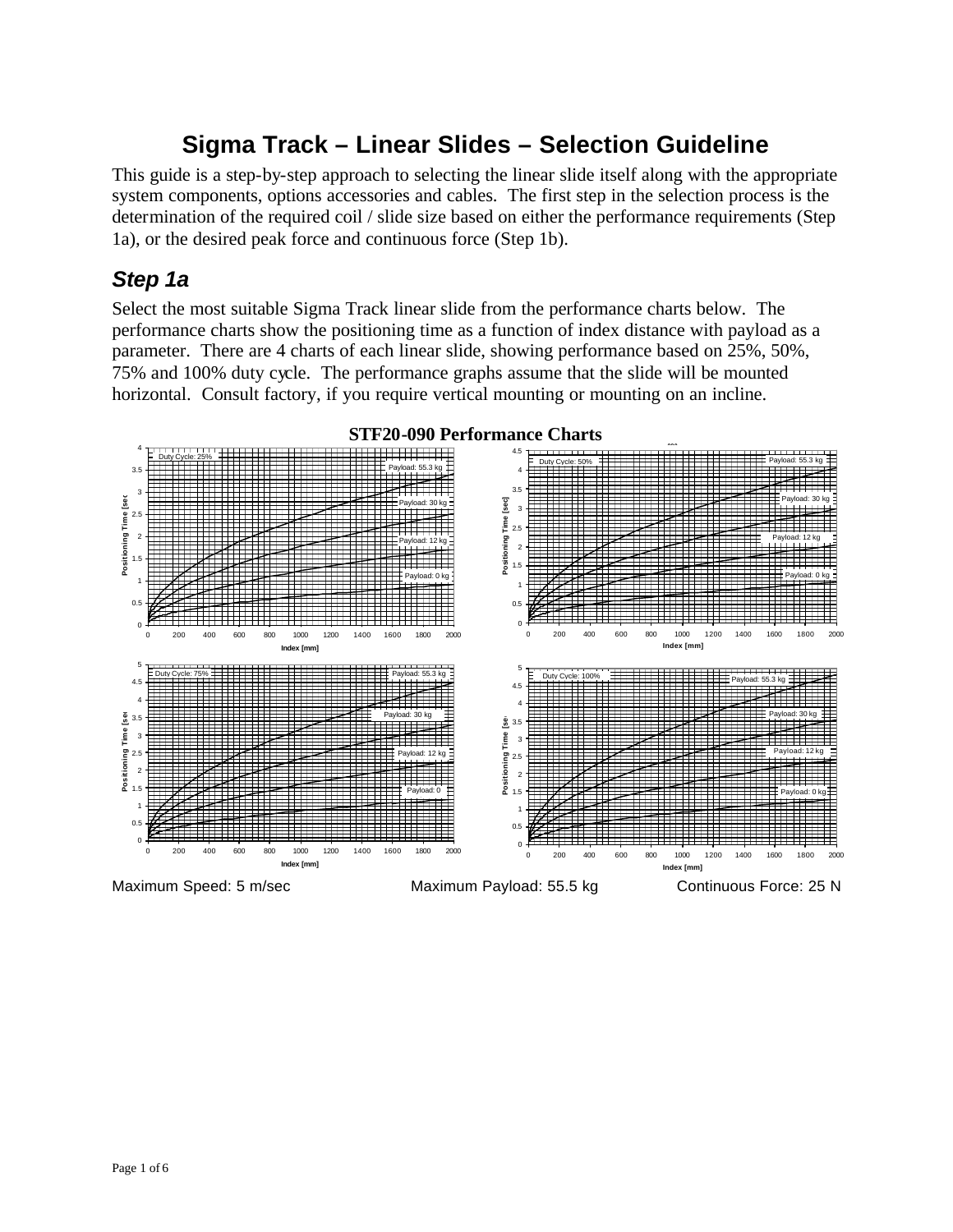# **Sigma Track – Linear Slides – Selection Guideline**

This guide is a step-by-step approach to selecting the linear slide itself along with the appropriate system components, options accessories and cables. The first step in the selection process is the determination of the required coil / slide size based on either the performance requirements (Step 1a), or the desired peak force and continuous force (Step 1b).

### *Step 1a*

Select the most suitable Sigma Track linear slide from the performance charts below. The performance charts show the positioning time as a function of index distance with payload as a parameter. There are 4 charts of each linear slide, showing performance based on 25%, 50%, 75% and 100% duty cycle. The performance graphs assume that the slide will be mounted horizontal. Consult factory, if you require vertical mounting or mounting on an incline.



Page 1 of 6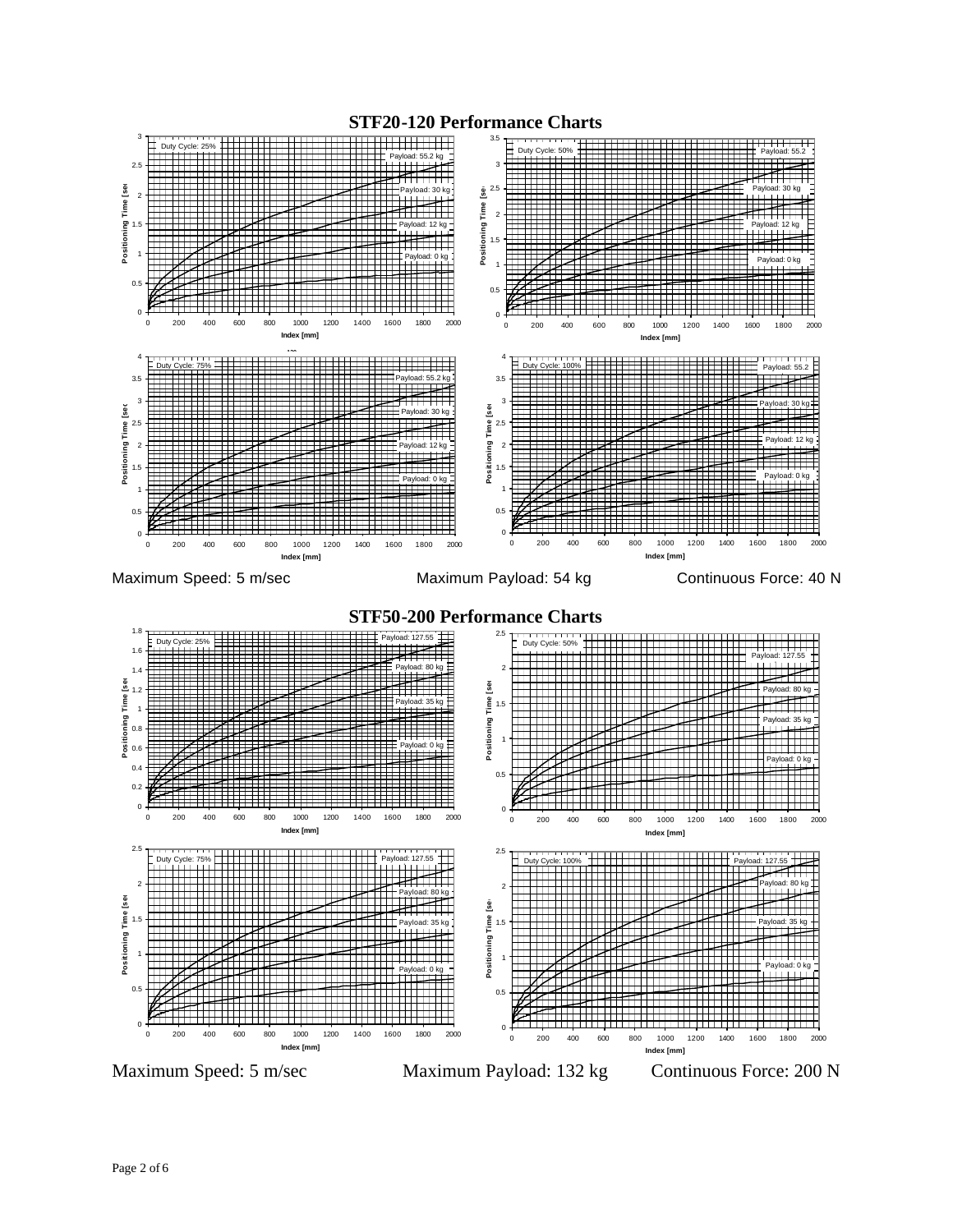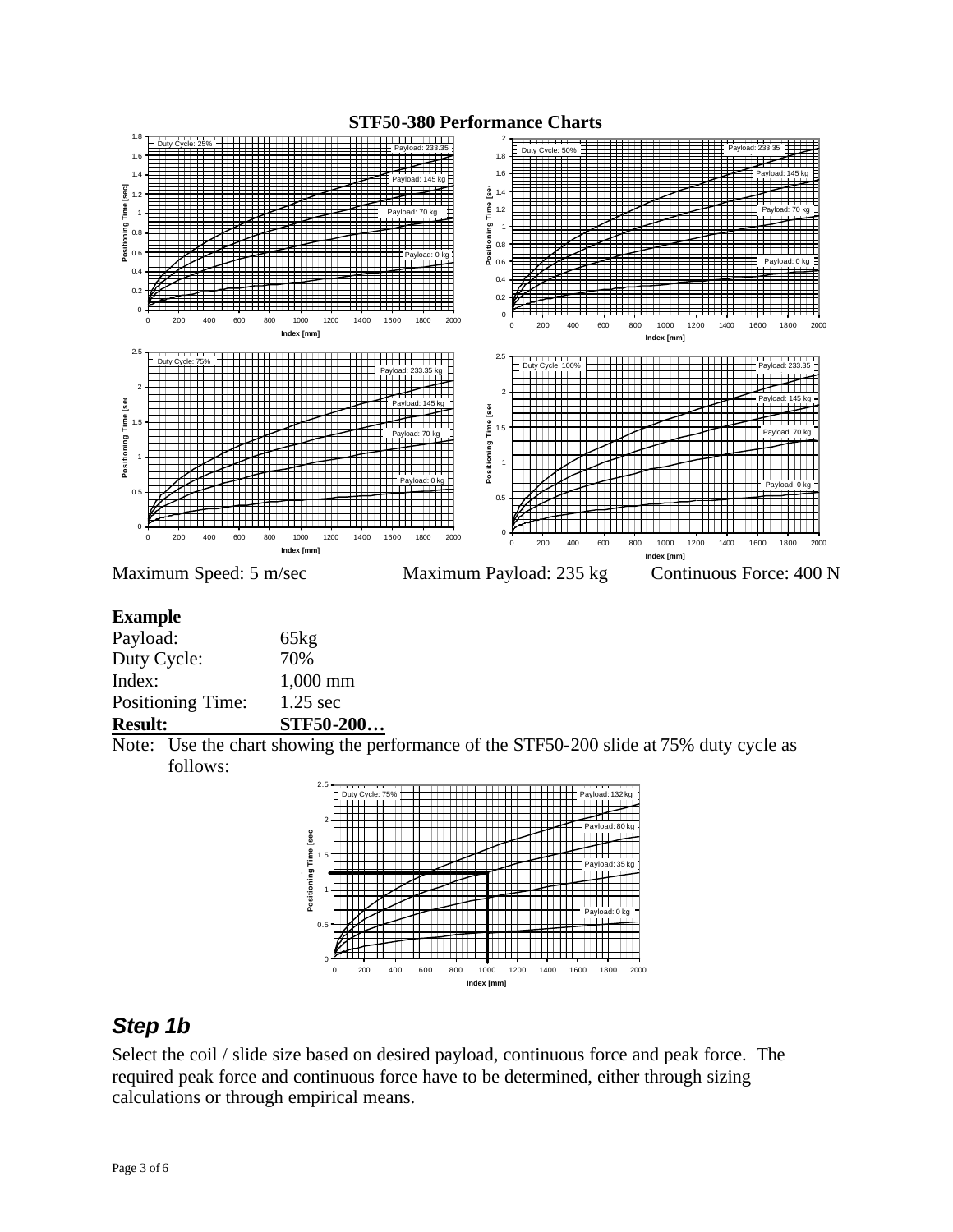

#### **Example**

| STF50-200  |
|------------|
| $1.25$ sec |
| $1,000$ mm |
| 70%        |
| 65kg       |
|            |

Note: Use the chart showing the performance of the STF50-200 slide at 75% duty cycle as follows:



## *Step 1b*

Select the coil / slide size based on desired payload, continuous force and peak force. The required peak force and continuous force have to be determined, either through sizing calculations or through empirical means.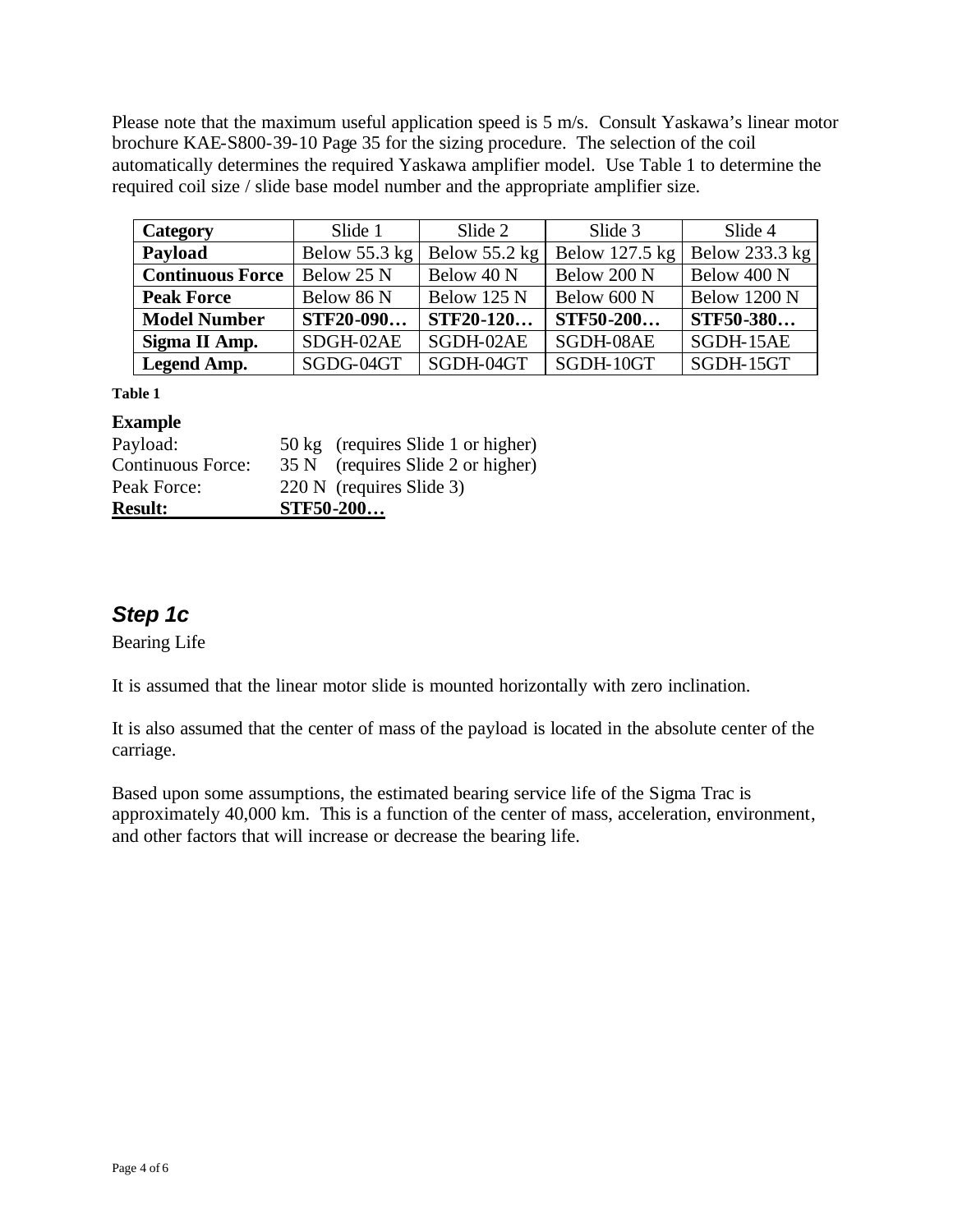Please note that the maximum useful application speed is 5 m/s. Consult Yaskawa's linear motor brochure KAE-S800-39-10 Page 35 for the sizing procedure. The selection of the coil automatically determines the required Yaskawa amplifier model. Use Table 1 to determine the required coil size / slide base model number and the appropriate amplifier size.

| Category                | Slide 1         | Slide 2       | Slide 3        | Slide 4             |
|-------------------------|-----------------|---------------|----------------|---------------------|
| Payload                 | Below $55.3$ kg | Below 55.2 kg | Below 127.5 kg | Below 233.3 kg      |
| <b>Continuous Force</b> | Below 25 N      | Below 40 N    | Below 200 N    | Below 400 N         |
| <b>Peak Force</b>       | Below 86 N      | Below 125 N   | Below 600 N    | <b>Below 1200 N</b> |
| <b>Model Number</b>     | STF20-090       | STF20-120     | STF50-200      | <b>STF50-380</b>    |
| Sigma II Amp.           | SDGH-02AE       | SGDH-02AE     | SGDH-08AE      | SGDH-15AE           |
| Legend Amp.             | SGDG-04GT       | SGDH-04GT     | SGDH-10GT      | SGDH-15GT           |

**Table 1**

#### **Example**

| <b>Result:</b>    | <b>STF50-200</b>                   |
|-------------------|------------------------------------|
| Peak Force:       | 220 N (requires Slide 3)           |
| Continuous Force: | 35 N (requires Slide 2 or higher)  |
| Payload:          | 50 kg (requires Slide 1 or higher) |

# *Step 1c*

Bearing Life

It is assumed that the linear motor slide is mounted horizontally with zero inclination.

It is also assumed that the center of mass of the payload is located in the absolute center of the carriage.

Based upon some assumptions, the estimated bearing service life of the Sigma Trac is approximately 40,000 km. This is a function of the center of mass, acceleration, environment, and other factors that will increase or decrease the bearing life.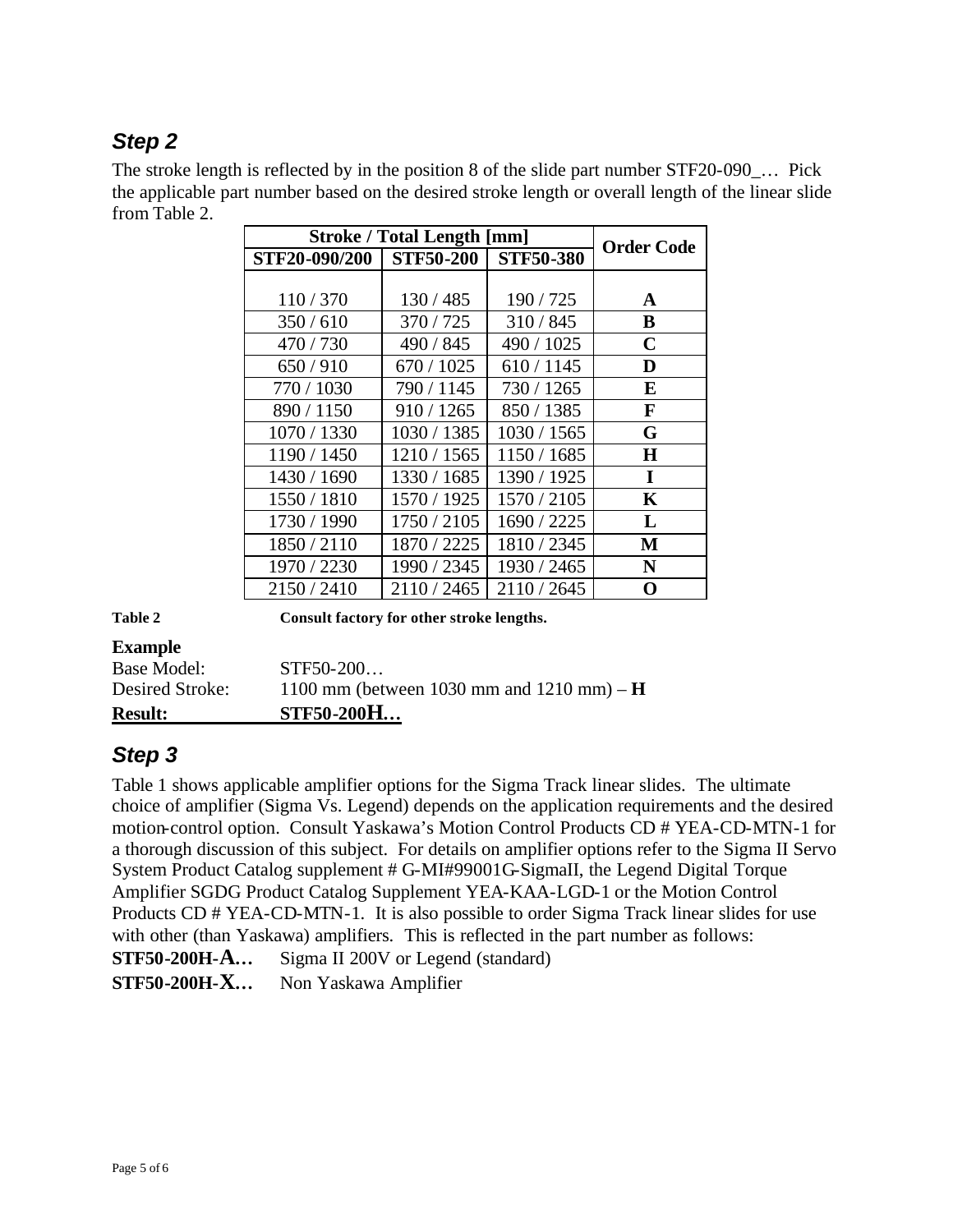# *Step 2*

The stroke length is reflected by in the position 8 of the slide part number STF20-090\_… Pick the applicable part number based on the desired stroke length or overall length of the linear slide from Table 2.

| <b>Stroke / Total Length [mm]</b> |                  |                  | <b>Order Code</b> |
|-----------------------------------|------------------|------------------|-------------------|
| STF20-090/200                     | <b>STF50-200</b> | <b>STF50-380</b> |                   |
|                                   |                  |                  |                   |
| 110/370                           | 130/485          | 190/725          | A                 |
| 350/610                           | 370/725          | 310/845          | B                 |
| 470/730                           | 490 / 845        | 490 / 1025       | $\mathbf C$       |
| 650/910                           | 670 / 1025       | 610/1145         | D                 |
| 770 / 1030                        | 790/1145         | 730 / 1265       | E                 |
| 890 / 1150                        | 910/1265         | 850 / 1385       | F                 |
| 1070 / 1330                       | 1030 / 1385      | 1030 / 1565      | G                 |
| 1190 / 1450                       | 1210/1565        | 1150 / 1685      | H                 |
| 1430 / 1690                       | 1330 / 1685      | 1390 / 1925      | I                 |
| 1550 / 1810                       | 1570 / 1925      | 1570 / 2105      | $\mathbf K$       |
| 1730 / 1990                       | 1750 / 2105      | 1690 / 2225      | L                 |
| 1850/2110                         | 1870 / 2225      | 1810 / 2345      | М                 |
| 1970 / 2230                       | 1990 / 2345      | 1930 / 2465      | N                 |
| 2150/2410                         | 2110 / 2465      | 2110 / 2645      | O                 |

**Table 2 Consult factory for other stroke lengths.**

### **Example**

| <b>Result:</b>  | <b>STF50-200H</b>                           |
|-----------------|---------------------------------------------|
| Desired Stroke: | 1100 mm (between 1030 mm and 1210 mm) – $H$ |
| Base Model:     | $STF50-200$                                 |

## *Step 3*

Table 1 shows applicable amplifier options for the Sigma Track linear slides. The ultimate choice of amplifier (Sigma Vs. Legend) depends on the application requirements and the desired motion-control option. Consult Yaskawa's Motion Control Products CD # YEA-CD-MTN-1 for a thorough discussion of this subject. For details on amplifier options refer to the Sigma II Servo System Product Catalog supplement # G-MI#99001G-SigmaII, the Legend Digital Torque Amplifier SGDG Product Catalog Supplement YEA-KAA-LGD-1 or the Motion Control Products CD # YEA-CD-MTN-1. It is also possible to order Sigma Track linear slides for use with other (than Yaskawa) amplifiers. This is reflected in the part number as follows: **STF50-200H-A…** Sigma II 200V or Legend (standard)

**STF50-200H-X…** Non Yaskawa Amplifier